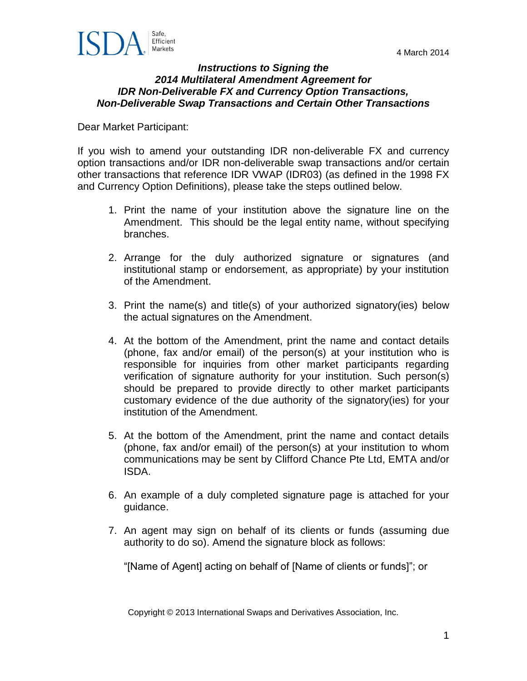

### *Instructions to Signing the 2014 Multilateral Amendment Agreement for IDR Non-Deliverable FX and Currency Option Transactions, Non-Deliverable Swap Transactions and Certain Other Transactions*

Dear Market Participant:

If you wish to amend your outstanding IDR non-deliverable FX and currency option transactions and/or IDR non-deliverable swap transactions and/or certain other transactions that reference IDR VWAP (IDR03) (as defined in the 1998 FX and Currency Option Definitions), please take the steps outlined below.

- 1. Print the name of your institution above the signature line on the Amendment. This should be the legal entity name, without specifying branches.
- 2. Arrange for the duly authorized signature or signatures (and institutional stamp or endorsement, as appropriate) by your institution of the Amendment.
- 3. Print the name(s) and title(s) of your authorized signatory(ies) below the actual signatures on the Amendment.
- 4. At the bottom of the Amendment, print the name and contact details (phone, fax and/or email) of the person(s) at your institution who is responsible for inquiries from other market participants regarding verification of signature authority for your institution. Such person(s) should be prepared to provide directly to other market participants customary evidence of the due authority of the signatory(ies) for your institution of the Amendment.
- 5. At the bottom of the Amendment, print the name and contact details (phone, fax and/or email) of the person(s) at your institution to whom communications may be sent by Clifford Chance Pte Ltd, EMTA and/or ISDA.
- 6. An example of a duly completed signature page is attached for your guidance.
- 7. An agent may sign on behalf of its clients or funds (assuming due authority to do so). Amend the signature block as follows:

"[Name of Agent] acting on behalf of [Name of clients or funds]"; or

Copyright © 2013 International Swaps and Derivatives Association, Inc.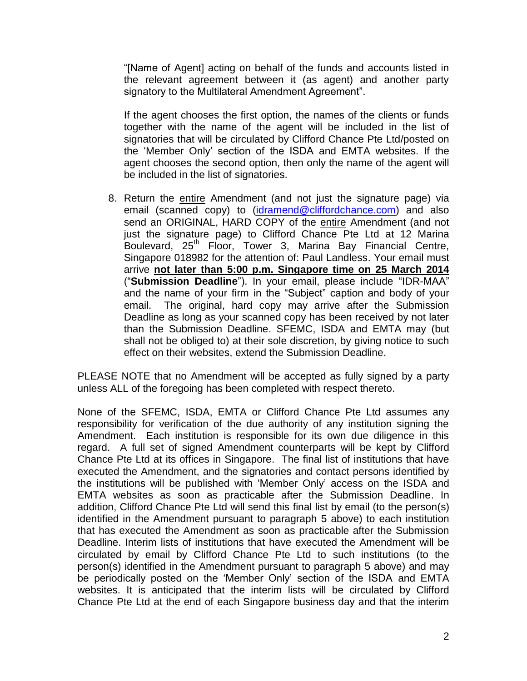"[Name of Agent] acting on behalf of the funds and accounts listed in the relevant agreement between it (as agent) and another party signatory to the Multilateral Amendment Agreement".

If the agent chooses the first option, the names of the clients or funds together with the name of the agent will be included in the list of signatories that will be circulated by Clifford Chance Pte Ltd/posted on the 'Member Only' section of the ISDA and EMTA websites. If the agent chooses the second option, then only the name of the agent will be included in the list of signatories.

8. Return the entire Amendment (and not just the signature page) via email (scanned copy) to [\(idramend@cliffordchance.com\)](mailto:idramend@cliffordchance.com) and also send an ORIGINAL, HARD COPY of the entire Amendment (and not just the signature page) to Clifford Chance Pte Ltd at 12 Marina Boulevard, 25th Floor, Tower 3, Marina Bay Financial Centre, Singapore 018982 for the attention of: Paul Landless. Your email must arrive **not later than 5:00 p.m. Singapore time on 25 March 2014** ("**Submission Deadline**"). In your email, please include "IDR-MAA" and the name of your firm in the "Subject" caption and body of your email. The original, hard copy may arrive after the Submission Deadline as long as your scanned copy has been received by not later than the Submission Deadline. SFEMC, ISDA and EMTA may (but shall not be obliged to) at their sole discretion, by giving notice to such effect on their websites, extend the Submission Deadline.

PLEASE NOTE that no Amendment will be accepted as fully signed by a party unless ALL of the foregoing has been completed with respect thereto.

None of the SFEMC, ISDA, EMTA or Clifford Chance Pte Ltd assumes any responsibility for verification of the due authority of any institution signing the Amendment. Each institution is responsible for its own due diligence in this regard. A full set of signed Amendment counterparts will be kept by Clifford Chance Pte Ltd at its offices in Singapore. The final list of institutions that have executed the Amendment, and the signatories and contact persons identified by the institutions will be published with 'Member Only' access on the ISDA and EMTA websites as soon as practicable after the Submission Deadline. In addition, Clifford Chance Pte Ltd will send this final list by email (to the person(s) identified in the Amendment pursuant to paragraph 5 above) to each institution that has executed the Amendment as soon as practicable after the Submission Deadline. Interim lists of institutions that have executed the Amendment will be circulated by email by Clifford Chance Pte Ltd to such institutions (to the person(s) identified in the Amendment pursuant to paragraph 5 above) and may be periodically posted on the 'Member Only' section of the ISDA and EMTA websites. It is anticipated that the interim lists will be circulated by Clifford Chance Pte Ltd at the end of each Singapore business day and that the interim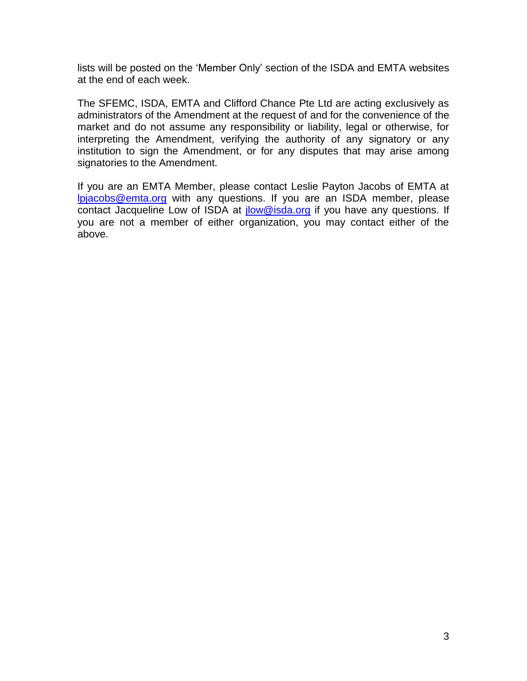lists will be posted on the 'Member Only' section of the ISDA and EMTA websites at the end of each week.

The SFEMC, ISDA, EMTA and Clifford Chance Pte Ltd are acting exclusively as administrators of the Amendment at the request of and for the convenience of the market and do not assume any responsibility or liability, legal or otherwise, for interpreting the Amendment, verifying the authority of any signatory or any institution to sign the Amendment, or for any disputes that may arise among signatories to the Amendment.

If you are an EMTA Member, please contact Leslie Payton Jacobs of EMTA at [lpjacobs@emta.org](mailto:lpjacobs@emta.org) with any questions. If you are an ISDA member, please contact Jacqueline Low of ISDA at [jlow@isda.org](mailto:jlow@isda.org) if you have any questions. If you are not a member of either organization, you may contact either of the above.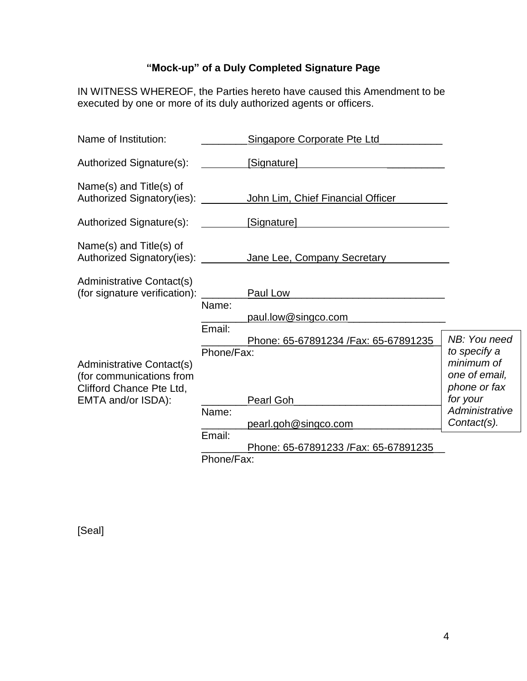# **"Mock-up" of a Duly Completed Signature Page**

IN WITNESS WHEREOF, the Parties hereto have caused this Amendment to be executed by one or more of its duly authorized agents or officers.

| Name of Institution:                                                                                           |            | Singapore Corporate Pte Ltd                                       |                                                                         |
|----------------------------------------------------------------------------------------------------------------|------------|-------------------------------------------------------------------|-------------------------------------------------------------------------|
| Authorized Signature(s):                                                                                       |            | [Signature]                                                       |                                                                         |
| Name(s) and Title(s) of<br>Authorized Signatory(ies): ________                                                 |            | John Lim, Chief Financial Officer                                 |                                                                         |
| Authorized Signature(s): ________                                                                              |            | [Signature]                                                       |                                                                         |
| Name(s) and Title(s) of                                                                                        |            | Authorized Signatory(ies): __________ Jane Lee, Company Secretary |                                                                         |
| <b>Administrative Contact(s)</b><br>(for signature verification):                                              |            | Paul Low                                                          |                                                                         |
|                                                                                                                | Name:      | paul.low@singco.com                                               |                                                                         |
|                                                                                                                | Email:     | Phone: 65-67891234 / Fax: 65-67891235                             | NB: You need                                                            |
| <b>Administrative Contact(s)</b><br>(for communications from<br>Clifford Chance Pte Ltd,<br>EMTA and/or ISDA): | Phone/Fax: |                                                                   | to specify a<br>minimum of<br>one of email,<br>phone or fax<br>for your |
|                                                                                                                | Name:      | <b>Pearl Goh</b><br><u>pearl.goh@singco.com</u>                   | Administrative<br>Contact(s).                                           |
|                                                                                                                | Email:     | Phone: 65-67891233 / Fax: 65-67891235                             |                                                                         |
|                                                                                                                | Phone/Fax: |                                                                   |                                                                         |

[Seal]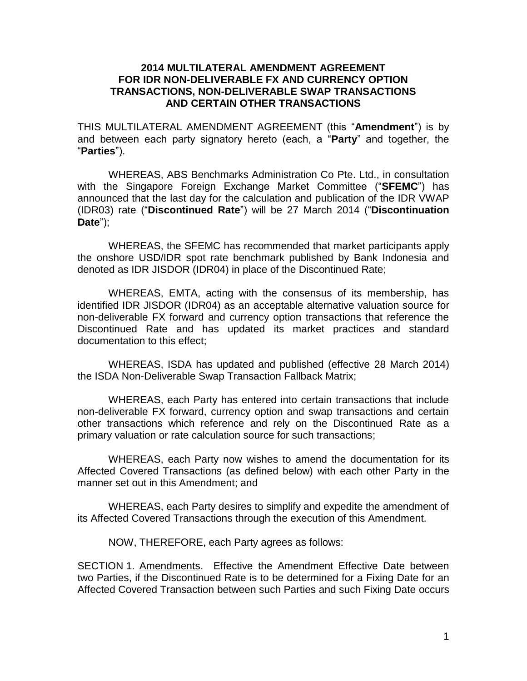#### **2014 MULTILATERAL AMENDMENT AGREEMENT FOR IDR NON-DELIVERABLE FX AND CURRENCY OPTION TRANSACTIONS, NON-DELIVERABLE SWAP TRANSACTIONS AND CERTAIN OTHER TRANSACTIONS**

THIS MULTILATERAL AMENDMENT AGREEMENT (this "**Amendment**") is by and between each party signatory hereto (each, a "**Party**" and together, the "**Parties**").

WHEREAS, ABS Benchmarks Administration Co Pte. Ltd., in consultation with the Singapore Foreign Exchange Market Committee ("**SFEMC**") has announced that the last day for the calculation and publication of the IDR VWAP (IDR03) rate ("**Discontinued Rate**") will be 27 March 2014 ("**Discontinuation Date**");

WHEREAS, the SFEMC has recommended that market participants apply the onshore USD/IDR spot rate benchmark published by Bank Indonesia and denoted as IDR JISDOR (IDR04) in place of the Discontinued Rate;

WHEREAS, EMTA, acting with the consensus of its membership, has identified IDR JISDOR (IDR04) as an acceptable alternative valuation source for non-deliverable FX forward and currency option transactions that reference the Discontinued Rate and has updated its market practices and standard documentation to this effect;

WHEREAS, ISDA has updated and published (effective 28 March 2014) the ISDA Non-Deliverable Swap Transaction Fallback Matrix;

WHEREAS, each Party has entered into certain transactions that include non-deliverable FX forward, currency option and swap transactions and certain other transactions which reference and rely on the Discontinued Rate as a primary valuation or rate calculation source for such transactions;

WHEREAS, each Party now wishes to amend the documentation for its Affected Covered Transactions (as defined below) with each other Party in the manner set out in this Amendment; and

WHEREAS, each Party desires to simplify and expedite the amendment of its Affected Covered Transactions through the execution of this Amendment.

NOW, THEREFORE, each Party agrees as follows:

SECTION 1. Amendments. Effective the Amendment Effective Date between two Parties, if the Discontinued Rate is to be determined for a Fixing Date for an Affected Covered Transaction between such Parties and such Fixing Date occurs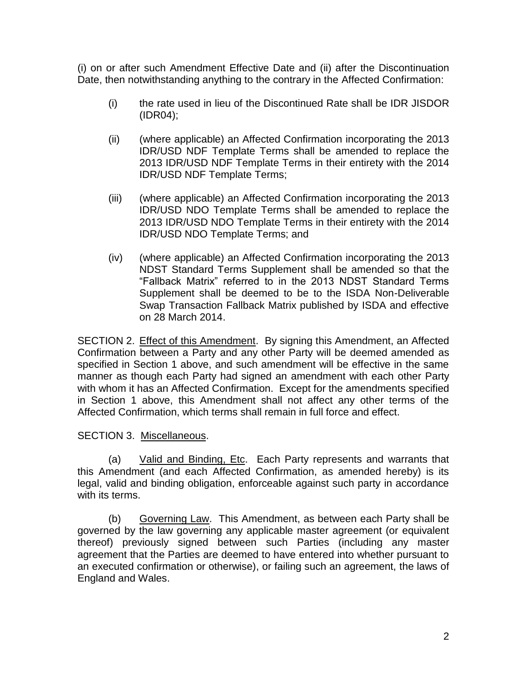(i) on or after such Amendment Effective Date and (ii) after the Discontinuation Date, then notwithstanding anything to the contrary in the Affected Confirmation:

- (i) the rate used in lieu of the Discontinued Rate shall be IDR JISDOR (IDR04);
- (ii) (where applicable) an Affected Confirmation incorporating the 2013 IDR/USD NDF Template Terms shall be amended to replace the 2013 IDR/USD NDF Template Terms in their entirety with the 2014 IDR/USD NDF Template Terms;
- (iii) (where applicable) an Affected Confirmation incorporating the 2013 IDR/USD NDO Template Terms shall be amended to replace the 2013 IDR/USD NDO Template Terms in their entirety with the 2014 IDR/USD NDO Template Terms; and
- (iv) (where applicable) an Affected Confirmation incorporating the 2013 NDST Standard Terms Supplement shall be amended so that the "Fallback Matrix" referred to in the 2013 NDST Standard Terms Supplement shall be deemed to be to the ISDA Non-Deliverable Swap Transaction Fallback Matrix published by ISDA and effective on 28 March 2014.

SECTION 2. Effect of this Amendment. By signing this Amendment, an Affected Confirmation between a Party and any other Party will be deemed amended as specified in Section 1 above, and such amendment will be effective in the same manner as though each Party had signed an amendment with each other Party with whom it has an Affected Confirmation. Except for the amendments specified in Section 1 above, this Amendment shall not affect any other terms of the Affected Confirmation, which terms shall remain in full force and effect.

### SECTION 3. Miscellaneous.

(a) Valid and Binding, Etc. Each Party represents and warrants that this Amendment (and each Affected Confirmation, as amended hereby) is its legal, valid and binding obligation, enforceable against such party in accordance with its terms.

(b) Governing Law. This Amendment, as between each Party shall be governed by the law governing any applicable master agreement (or equivalent thereof) previously signed between such Parties (including any master agreement that the Parties are deemed to have entered into whether pursuant to an executed confirmation or otherwise), or failing such an agreement, the laws of England and Wales.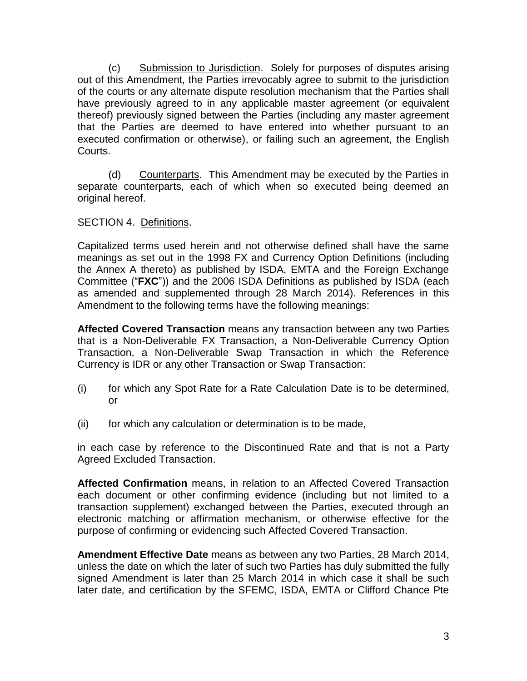(c) Submission to Jurisdiction. Solely for purposes of disputes arising out of this Amendment, the Parties irrevocably agree to submit to the jurisdiction of the courts or any alternate dispute resolution mechanism that the Parties shall have previously agreed to in any applicable master agreement (or equivalent thereof) previously signed between the Parties (including any master agreement that the Parties are deemed to have entered into whether pursuant to an executed confirmation or otherwise), or failing such an agreement, the English Courts.

(d) Counterparts. This Amendment may be executed by the Parties in separate counterparts, each of which when so executed being deemed an original hereof.

## SECTION 4. Definitions.

Capitalized terms used herein and not otherwise defined shall have the same meanings as set out in the 1998 FX and Currency Option Definitions (including the Annex A thereto) as published by ISDA, EMTA and the Foreign Exchange Committee ("**FXC**")) and the 2006 ISDA Definitions as published by ISDA (each as amended and supplemented through 28 March 2014). References in this Amendment to the following terms have the following meanings:

**Affected Covered Transaction** means any transaction between any two Parties that is a Non-Deliverable FX Transaction, a Non-Deliverable Currency Option Transaction, a Non-Deliverable Swap Transaction in which the Reference Currency is IDR or any other Transaction or Swap Transaction:

- (i) for which any Spot Rate for a Rate Calculation Date is to be determined, or
- (ii) for which any calculation or determination is to be made,

in each case by reference to the Discontinued Rate and that is not a Party Agreed Excluded Transaction.

**Affected Confirmation** means, in relation to an Affected Covered Transaction each document or other confirming evidence (including but not limited to a transaction supplement) exchanged between the Parties, executed through an electronic matching or affirmation mechanism, or otherwise effective for the purpose of confirming or evidencing such Affected Covered Transaction.

**Amendment Effective Date** means as between any two Parties, 28 March 2014, unless the date on which the later of such two Parties has duly submitted the fully signed Amendment is later than 25 March 2014 in which case it shall be such later date, and certification by the SFEMC, ISDA, EMTA or Clifford Chance Pte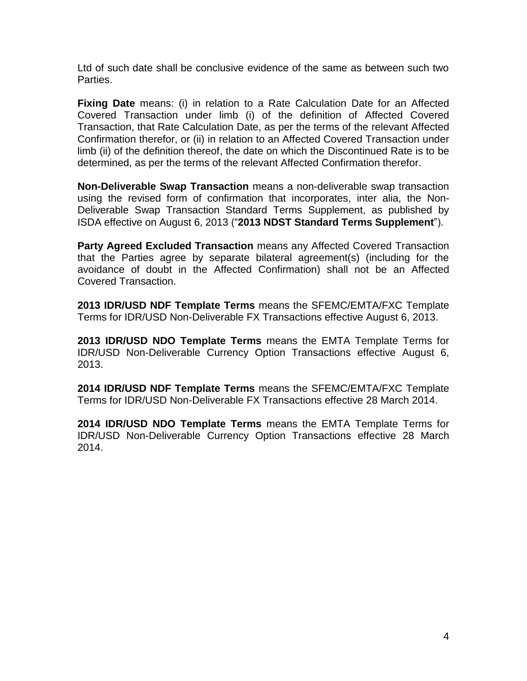Ltd of such date shall be conclusive evidence of the same as between such two Parties.

**Fixing Date** means: (i) in relation to a Rate Calculation Date for an Affected Covered Transaction under limb (i) of the definition of Affected Covered Transaction, that Rate Calculation Date, as per the terms of the relevant Affected Confirmation therefor, or (ii) in relation to an Affected Covered Transaction under limb (ii) of the definition thereof, the date on which the Discontinued Rate is to be determined, as per the terms of the relevant Affected Confirmation therefor.

**Non-Deliverable Swap Transaction** means a non-deliverable swap transaction using the revised form of confirmation that incorporates, inter alia, the Non-Deliverable Swap Transaction Standard Terms Supplement, as published by ISDA effective on August 6, 2013 ("**2013 NDST Standard Terms Supplement**").

**Party Agreed Excluded Transaction** means any Affected Covered Transaction that the Parties agree by separate bilateral agreement(s) (including for the avoidance of doubt in the Affected Confirmation) shall not be an Affected Covered Transaction.

**2013 IDR/USD NDF Template Terms** means the SFEMC/EMTA/FXC Template Terms for IDR/USD Non-Deliverable FX Transactions effective August 6, 2013.

**2013 IDR/USD NDO Template Terms** means the EMTA Template Terms for IDR/USD Non-Deliverable Currency Option Transactions effective August 6, 2013.

**2014 IDR/USD NDF Template Terms** means the SFEMC/EMTA/FXC Template Terms for IDR/USD Non-Deliverable FX Transactions effective 28 March 2014.

**2014 IDR/USD NDO Template Terms** means the EMTA Template Terms for IDR/USD Non-Deliverable Currency Option Transactions effective 28 March 2014.